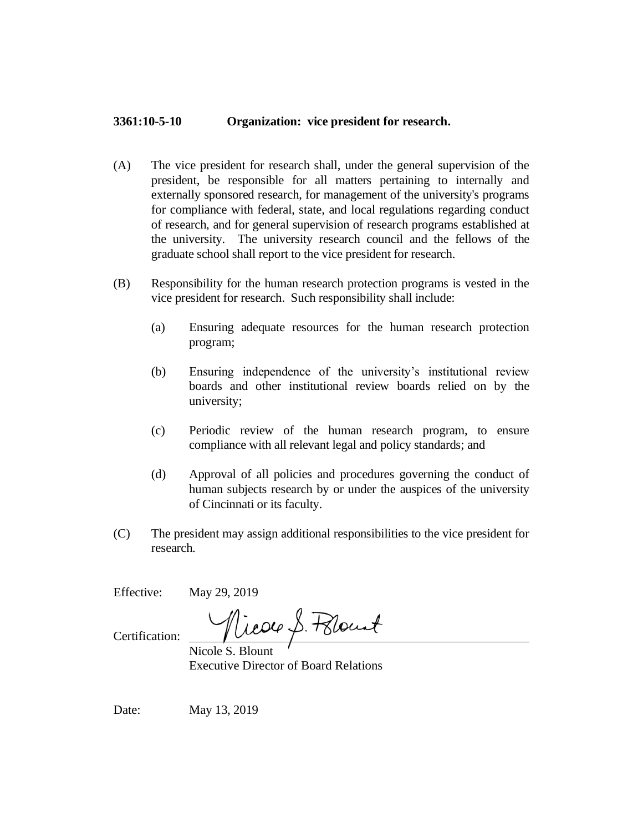## **3361:10-5-10 Organization: vice president for research.**

- (A) The vice president for research shall, under the general supervision of the president, be responsible for all matters pertaining to internally and externally sponsored research, for management of the university's programs for compliance with federal, state, and local regulations regarding conduct of research, and for general supervision of research programs established at the university. The university research council and the fellows of the graduate school shall report to the vice president for research.
- (B) Responsibility for the human research protection programs is vested in the vice president for research. Such responsibility shall include:
	- (a) Ensuring adequate resources for the human research protection program;
	- (b) Ensuring independence of the university's institutional review boards and other institutional review boards relied on by the university;
	- (c) Periodic review of the human research program, to ensure compliance with all relevant legal and policy standards; and
	- (d) Approval of all policies and procedures governing the conduct of human subjects research by or under the auspices of the university of Cincinnati or its faculty.
- (C) The president may assign additional responsibilities to the vice president for research.

Effective: May 29, 2019

Nicole S. Polount

Certification:

Nicole S. Blount Executive Director of Board Relations

Date: May 13, 2019